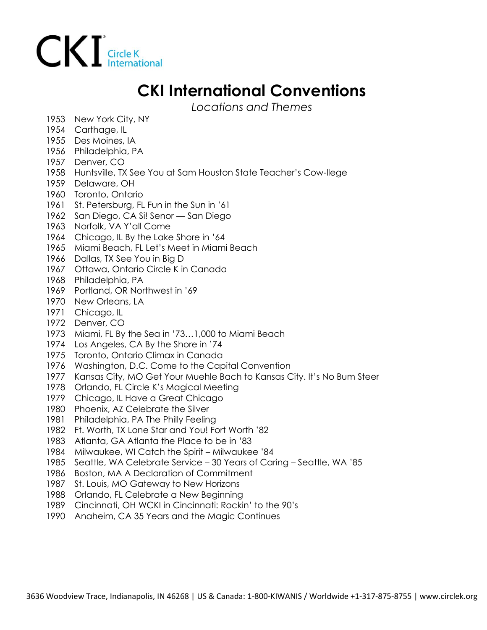

## **CKI International Conventions**

*Locations and Themes*

- 1953 New York City, NY
- 1954 Carthage, IL
- 1955 Des Moines, IA
- 1956 Philadelphia, PA
- 1957 Denver, CO
- 1958 Huntsville, TX See You at Sam Houston State Teacher's Cow-llege
- 1959 Delaware, OH
- 1960 Toronto, Ontario
- 1961 St. Petersburg, FL Fun in the Sun in '61
- 1962 San Diego, CA Si! Senor San Diego
- 1963 Norfolk, VA Y'all Come
- 1964 Chicago, IL By the Lake Shore in '64
- 1965 Miami Beach, FL Let's Meet in Miami Beach
- 1966 Dallas, TX See You in Big D
- 1967 Ottawa, Ontario Circle K in Canada
- 1968 Philadelphia, PA
- 1969 Portland, OR Northwest in '69
- 1970 New Orleans, LA
- 1971 Chicago, IL
- 1972 Denver, CO
- 1973 Miami, FL By the Sea in '73…1,000 to Miami Beach
- 1974 Los Angeles, CA By the Shore in '74
- 1975 Toronto, Ontario Climax in Canada
- 1976 Washington, D.C. Come to the Capital Convention
- 1977 Kansas City, MO Get Your Muehle Bach to Kansas City. It's No Bum Steer
- 1978 Orlando, FL Circle K's Magical Meeting
- 1979 Chicago, IL Have a Great Chicago
- 1980 Phoenix, AZ Celebrate the Silver
- 1981 Philadelphia, PA The Philly Feeling
- 1982 Ft. Worth, TX Lone Star and You! Fort Worth '82
- 1983 Atlanta, GA Atlanta the Place to be in '83
- 1984 Milwaukee, WI Catch the Spirit Milwaukee '84
- 1985 Seattle, WA Celebrate Service 30 Years of Caring Seattle, WA '85
- 1986 Boston, MA A Declaration of Commitment
- 1987 St. Louis, MO Gateway to New Horizons
- 1988 Orlando, FL Celebrate a New Beginning
- 1989 Cincinnati, OH WCKI in Cincinnati: Rockin' to the 90's
- 1990 Anaheim, CA 35 Years and the Magic Continues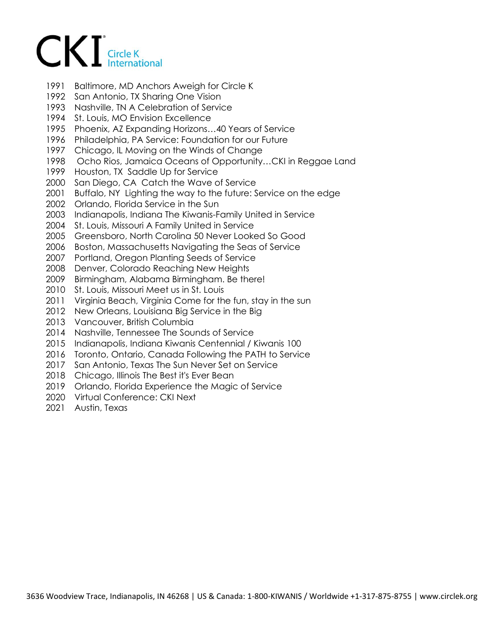## $CKI$  Circle K

- 1991 Baltimore, MD Anchors Aweigh for Circle K
- 1992 San Antonio, TX Sharing One Vision
- 1993 Nashville, TN A Celebration of Service
- 1994 St. Louis, MO Envision Excellence
- 1995 Phoenix, AZ Expanding Horizons…40 Years of Service
- 1996 Philadelphia, PA Service: Foundation for our Future
- 1997 Chicago, IL Moving on the Winds of Change
- 1998 Ocho Rios, Jamaica Oceans of Opportunity…CKI in Reggae Land
- 1999 Houston, TX Saddle Up for Service
- 2000 San Diego, CA Catch the Wave of Service
- 2001 Buffalo, NY Lighting the way to the future: Service on the edge
- 2002 Orlando, Florida Service in the Sun
- 2003 Indianapolis, Indiana The Kiwanis-Family United in Service
- 2004 St. Louis, Missouri A Family United in Service
- 2005 Greensboro, North Carolina 50 Never Looked So Good
- 2006 Boston, Massachusetts Navigating the Seas of Service
- 2007 Portland, Oregon Planting Seeds of Service
- 2008 Denver, Colorado Reaching New Heights
- 2009 Birmingham, Alabama Birmingham. Be there!
- 2010 St. Louis, Missouri Meet us in St. Louis
- 2011 Virginia Beach, Virginia Come for the fun, stay in the sun
- 2012 New Orleans, Louisiana Big Service in the Big
- 2013 Vancouver, British Columbia
- 2014 Nashville, Tennessee The Sounds of Service
- 2015 Indianapolis, Indiana Kiwanis Centennial / Kiwanis 100
- 2016 Toronto, Ontario, Canada Following the PATH to Service
- 2017 San Antonio, Texas The Sun Never Set on Service
- 2018 Chicago, Illinois The Best it's Ever Bean
- 2019 Orlando, Florida Experience the Magic of Service
- 2020 Virtual Conference: CKI Next
- 2021 Austin, Texas